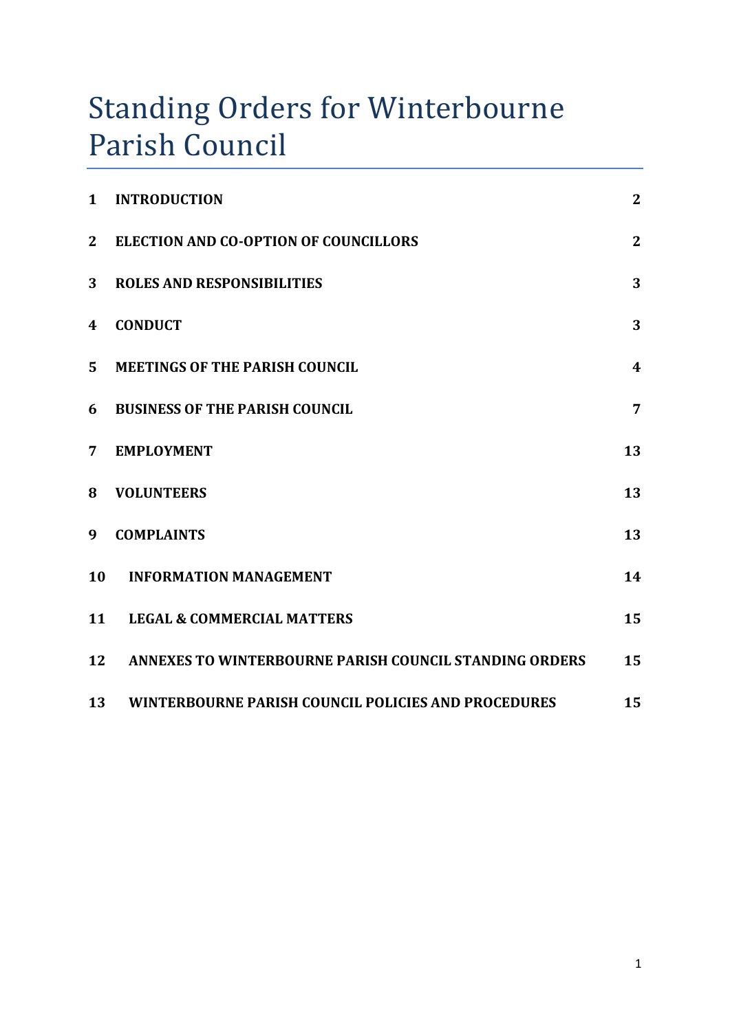# Standing Orders for Winterbourne Parish Council

| $\mathbf{1}$   | <b>INTRODUCTION</b>                                    | $\overline{2}$   |
|----------------|--------------------------------------------------------|------------------|
| $\mathbf{2}$   | <b>ELECTION AND CO-OPTION OF COUNCILLORS</b>           | $\overline{2}$   |
| 3              | <b>ROLES AND RESPONSIBILITIES</b>                      | 3                |
| 4              | <b>CONDUCT</b>                                         | 3                |
| 5              | <b>MEETINGS OF THE PARISH COUNCIL</b>                  | $\boldsymbol{4}$ |
| 6              | <b>BUSINESS OF THE PARISH COUNCIL</b>                  | $\overline{7}$   |
| $\overline{7}$ | <b>EMPLOYMENT</b>                                      | 13               |
| 8              | <b>VOLUNTEERS</b>                                      | 13               |
| 9              | <b>COMPLAINTS</b>                                      | 13               |
| 10             | <b>INFORMATION MANAGEMENT</b>                          | 14               |
| 11             | <b>LEGAL &amp; COMMERCIAL MATTERS</b>                  | 15               |
| 12             | ANNEXES TO WINTERBOURNE PARISH COUNCIL STANDING ORDERS | 15               |
| 13             | WINTERBOURNE PARISH COUNCIL POLICIES AND PROCEDURES    | 15               |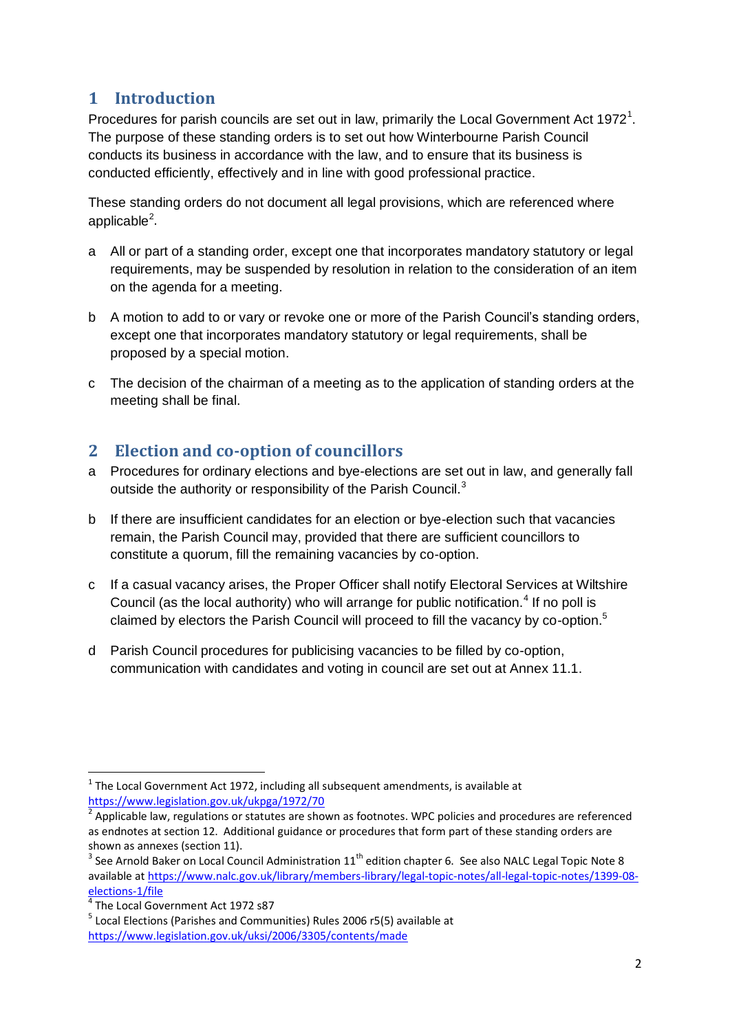# <span id="page-1-0"></span>**1 Introduction**

Procedures for parish councils are set out in law, primarily the Local Government Act 1972<sup>1</sup>. The purpose of these standing orders is to set out how Winterbourne Parish Council conducts its business in accordance with the law, and to ensure that its business is conducted efficiently, effectively and in line with good professional practice.

These standing orders do not document all legal provisions, which are referenced where applicable<sup>2</sup>.

- a All or part of a standing order, except one that incorporates mandatory statutory or legal requirements, may be suspended by resolution in relation to the consideration of an item on the agenda for a meeting.
- b A motion to add to or vary or revoke one or more of the Parish Council's standing orders, except one that incorporates mandatory statutory or legal requirements, shall be proposed by a special motion.
- c The decision of the chairman of a meeting as to the application of standing orders at the meeting shall be final.

# <span id="page-1-1"></span>**2 Election and co-option of councillors**

- a Procedures for ordinary elections and bye-elections are set out in law, and generally fall outside the authority or responsibility of the Parish Council.<sup>3</sup>
- b If there are insufficient candidates for an election or bye-election such that vacancies remain, the Parish Council may, provided that there are sufficient councillors to constitute a quorum, fill the remaining vacancies by co-option.
- c If a casual vacancy arises, the Proper Officer shall notify Electoral Services at Wiltshire Council (as the local authority) who will arrange for public notification.<sup>4</sup> If no poll is claimed by electors the Parish Council will proceed to fill the vacancy by co-option.<sup>5</sup>
- d Parish Council procedures for publicising vacancies to be filled by co-option, communication with candidates and voting in council are set out at Annex 11.1.

<sup>.</sup>  $<sup>1</sup>$  The Local Government Act 1972, including all subsequent amendments, is available at</sup> <https://www.legislation.gov.uk/ukpga/1972/70>

 $2$  Applicable law, regulations or statutes are shown as footnotes. WPC policies and procedures are referenced as endnotes at section 12. Additional guidance or procedures that form part of these standing orders are shown as annexes (section 11).

 $3$  See Arnold Baker on Local Council Administration  $11<sup>th</sup>$  edition chapter 6. See also NALC Legal Topic Note 8 available a[t https://www.nalc.gov.uk/library/members-library/legal-topic-notes/all-legal-topic-notes/1399-08-](https://www.nalc.gov.uk/library/members-library/legal-topic-notes/all-legal-topic-notes/1399-08-elections-1/file)

<sup>&</sup>lt;mark>[elections-1/file](https://www.nalc.gov.uk/library/members-library/legal-topic-notes/all-legal-topic-notes/1399-08-elections-1/file)</mark><br><sup>4</sup> The Local Government Act 1972 s87

<sup>&</sup>lt;sup>5</sup> Local Elections (Parishes and Communities) Rules 2006 r5(5) available at <https://www.legislation.gov.uk/uksi/2006/3305/contents/made>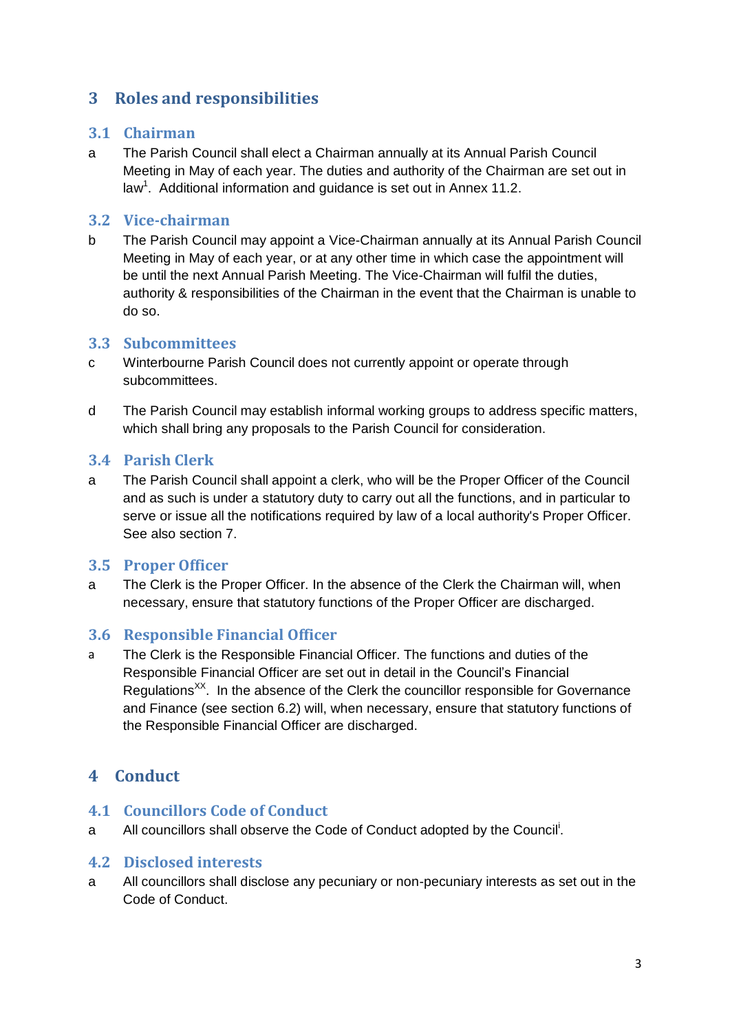# <span id="page-2-0"></span>**3 Roles and responsibilities**

#### **3.1 Chairman**

a The Parish Council shall elect a Chairman annually at its Annual Parish Council Meeting in May of each year. The duties and authority of the Chairman are set out in law<sup>1</sup>. Additional information and guidance is set out in Annex 11.2.

#### **3.2 Vice-chairman**

b The Parish Council may appoint a Vice-Chairman annually at its Annual Parish Council Meeting in May of each year, or at any other time in which case the appointment will be until the next Annual Parish Meeting. The Vice-Chairman will fulfil the duties, authority & responsibilities of the Chairman in the event that the Chairman is unable to do so.

## **3.3 Subcommittees**

- c Winterbourne Parish Council does not currently appoint or operate through subcommittees.
- d The Parish Council may establish informal working groups to address specific matters, which shall bring any proposals to the Parish Council for consideration.

## **3.4 Parish Clerk**

a The Parish Council shall appoint a clerk, who will be the Proper Officer of the Council and as such is under a statutory duty to carry out all the functions, and in particular to serve or issue all the notifications required by law of a local authority's Proper Officer. See also section 7.

## **3.5 Proper Officer**

a The Clerk is the Proper Officer. In the absence of the Clerk the Chairman will, when necessary, ensure that statutory functions of the Proper Officer are discharged.

## **3.6 Responsible Financial Officer**

a The Clerk is the Responsible Financial Officer. The functions and duties of the Responsible Financial Officer are set out in detail in the Council's Financial Regulations<sup>XX</sup>. In the absence of the Clerk the councillor responsible for Governance and Finance (see section 6.2) will, when necessary, ensure that statutory functions of the Responsible Financial Officer are discharged.

# <span id="page-2-1"></span>**4 Conduct**

## **4.1 Councillors Code of Conduct**

a All councillors shall observe the Code of Conduct adopted by the Council<sup>i</sup>.

## **4.2 Disclosed interests**

a All councillors shall disclose any pecuniary or non-pecuniary interests as set out in the Code of Conduct.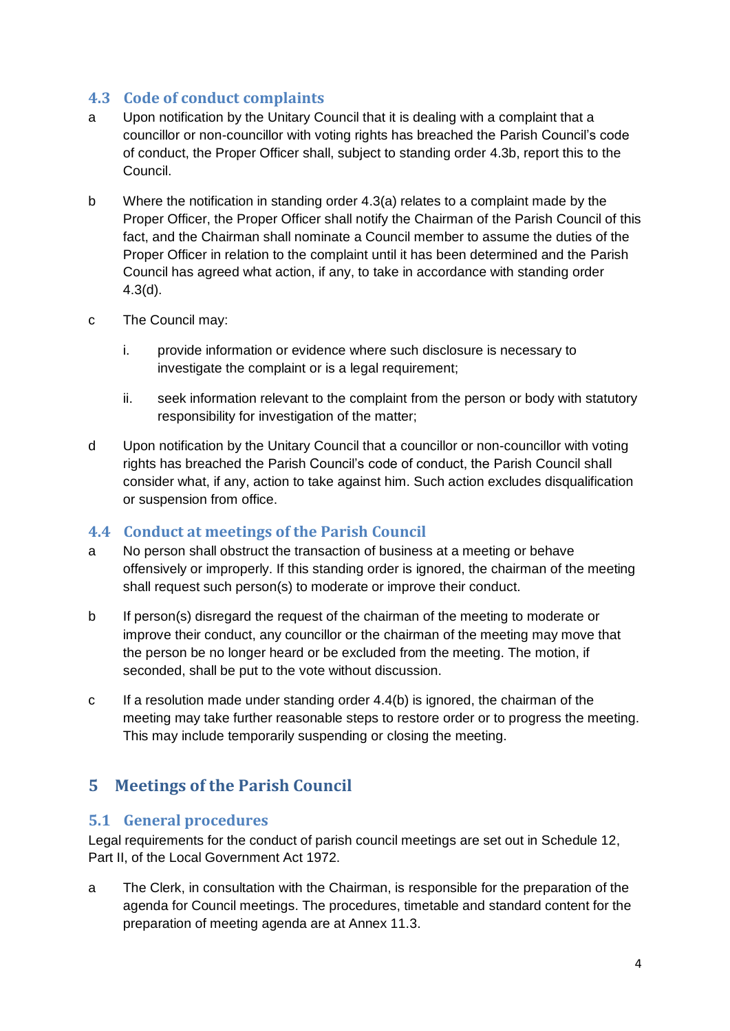## **4.3 Code of conduct complaints**

- a Upon notification by the Unitary Council that it is dealing with a complaint that a councillor or non-councillor with voting rights has breached the Parish Council's code of conduct, the Proper Officer shall, subject to standing order 4.3b, report this to the Council.
- b Where the notification in standing order 4.3(a) relates to a complaint made by the Proper Officer, the Proper Officer shall notify the Chairman of the Parish Council of this fact, and the Chairman shall nominate a Council member to assume the duties of the Proper Officer in relation to the complaint until it has been determined and the Parish Council has agreed what action, if any, to take in accordance with standing order 4.3(d).
- c The Council may:
	- i. provide information or evidence where such disclosure is necessary to investigate the complaint or is a legal requirement;
	- ii. seek information relevant to the complaint from the person or body with statutory responsibility for investigation of the matter;
- d Upon notification by the Unitary Council that a councillor or non-councillor with voting rights has breached the Parish Council's code of conduct, the Parish Council shall consider what, if any, action to take against him. Such action excludes disqualification or suspension from office.

#### **4.4 Conduct at meetings of the Parish Council**

- a No person shall obstruct the transaction of business at a meeting or behave offensively or improperly. If this standing order is ignored, the chairman of the meeting shall request such person(s) to moderate or improve their conduct.
- b If person(s) disregard the request of the chairman of the meeting to moderate or improve their conduct, any councillor or the chairman of the meeting may move that the person be no longer heard or be excluded from the meeting. The motion, if seconded, shall be put to the vote without discussion.
- c If a resolution made under standing order  $4.4(b)$  is ignored, the chairman of the meeting may take further reasonable steps to restore order or to progress the meeting. This may include temporarily suspending or closing the meeting.

# <span id="page-3-0"></span>**5 Meetings of the Parish Council**

#### **5.1 General procedures**

Legal requirements for the conduct of parish council meetings are set out in Schedule 12, Part II, of the Local Government Act 1972.

a The Clerk, in consultation with the Chairman, is responsible for the preparation of the agenda for Council meetings. The procedures, timetable and standard content for the preparation of meeting agenda are at Annex 11.3.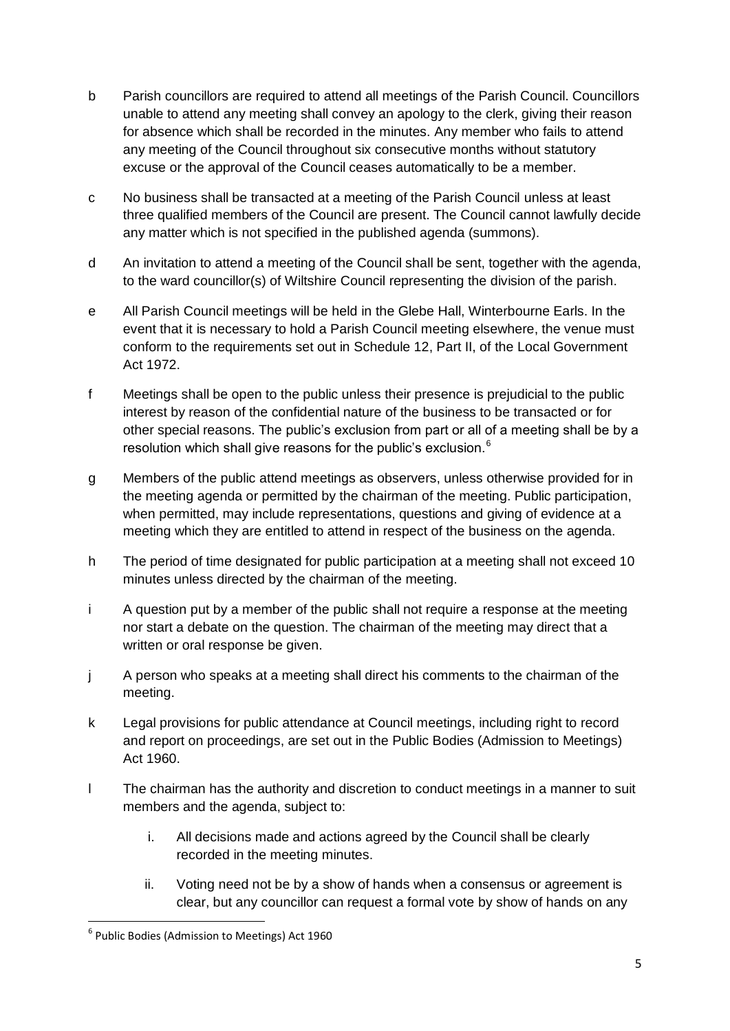- b Parish councillors are required to attend all meetings of the Parish Council. Councillors unable to attend any meeting shall convey an apology to the clerk, giving their reason for absence which shall be recorded in the minutes. Any member who fails to attend any meeting of the Council throughout six consecutive months without statutory excuse or the approval of the Council ceases automatically to be a member.
- c No business shall be transacted at a meeting of the Parish Council unless at least three qualified members of the Council are present. The Council cannot lawfully decide any matter which is not specified in the published agenda (summons).
- d An invitation to attend a meeting of the Council shall be sent, together with the agenda, to the ward councillor(s) of Wiltshire Council representing the division of the parish.
- e All Parish Council meetings will be held in the Glebe Hall, Winterbourne Earls. In the event that it is necessary to hold a Parish Council meeting elsewhere, the venue must conform to the requirements set out in Schedule 12, Part II, of the Local Government Act 1972.
- f Meetings shall be open to the public unless their presence is prejudicial to the public interest by reason of the confidential nature of the business to be transacted or for other special reasons. The public's exclusion from part or all of a meeting shall be by a resolution which shall give reasons for the public's exclusion. $6$
- g Members of the public attend meetings as observers, unless otherwise provided for in the meeting agenda or permitted by the chairman of the meeting. Public participation, when permitted, may include representations, questions and giving of evidence at a meeting which they are entitled to attend in respect of the business on the agenda.
- h The period of time designated for public participation at a meeting shall not exceed 10 minutes unless directed by the chairman of the meeting.
- i A question put by a member of the public shall not require a response at the meeting nor start a debate on the question. The chairman of the meeting may direct that a written or oral response be given.
- j A person who speaks at a meeting shall direct his comments to the chairman of the meeting.
- k Legal provisions for public attendance at Council meetings, including right to record and report on proceedings, are set out in the Public Bodies (Admission to Meetings) Act 1960.
- l The chairman has the authority and discretion to conduct meetings in a manner to suit members and the agenda, subject to:
	- i. All decisions made and actions agreed by the Council shall be clearly recorded in the meeting minutes.
	- ii. Voting need not be by a show of hands when a consensus or agreement is clear, but any councillor can request a formal vote by show of hands on any

 6 Public Bodies (Admission to Meetings) Act 1960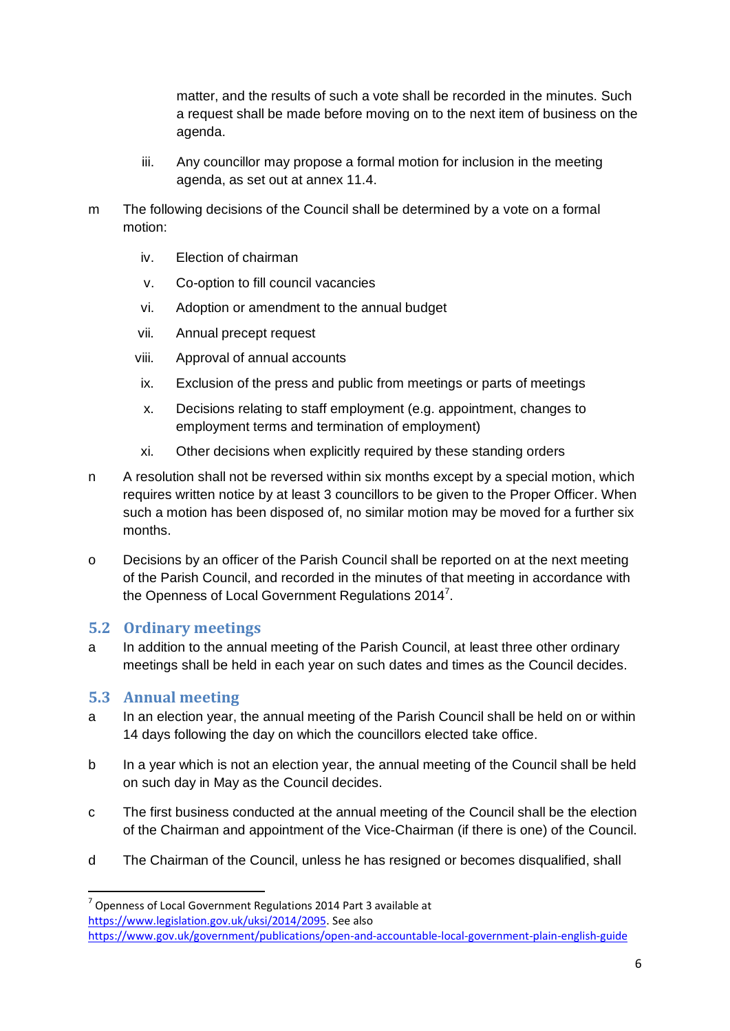matter, and the results of such a vote shall be recorded in the minutes. Such a request shall be made before moving on to the next item of business on the agenda.

- iii. Any councillor may propose a formal motion for inclusion in the meeting agenda, as set out at annex 11.4.
- m The following decisions of the Council shall be determined by a vote on a formal motion:
	- iv. Election of chairman
	- v. Co-option to fill council vacancies
	- vi. Adoption or amendment to the annual budget
	- vii. Annual precept request
	- viii. Approval of annual accounts
	- ix. Exclusion of the press and public from meetings or parts of meetings
	- x. Decisions relating to staff employment (e.g. appointment, changes to employment terms and termination of employment)
	- xi. Other decisions when explicitly required by these standing orders
- n A resolution shall not be reversed within six months except by a special motion, which requires written notice by at least 3 councillors to be given to the Proper Officer. When such a motion has been disposed of, no similar motion may be moved for a further six months.
- o Decisions by an officer of the Parish Council shall be reported on at the next meeting of the Parish Council, and recorded in the minutes of that meeting in accordance with the Openness of Local Government Regulations 2014<sup>7</sup>.

#### **5.2 Ordinary meetings**

a In addition to the annual meeting of the Parish Council, at least three other ordinary meetings shall be held in each year on such dates and times as the Council decides.

#### **5.3 Annual meeting**

- a In an election year, the annual meeting of the Parish Council shall be held on or within 14 days following the day on which the councillors elected take office.
- b In a year which is not an election year, the annual meeting of the Council shall be held on such day in May as the Council decides.
- c The first business conducted at the annual meeting of the Council shall be the election of the Chairman and appointment of the Vice-Chairman (if there is one) of the Council.
- d The Chairman of the Council, unless he has resigned or becomes disqualified, shall

 $7$  Openness of Local Government Regulations 2014 Part 3 available at [https://www.legislation.gov.uk/uksi/2014/2095.](https://www.legislation.gov.uk/uksi/2014/2095) See also

<https://www.gov.uk/government/publications/open-and-accountable-local-government-plain-english-guide>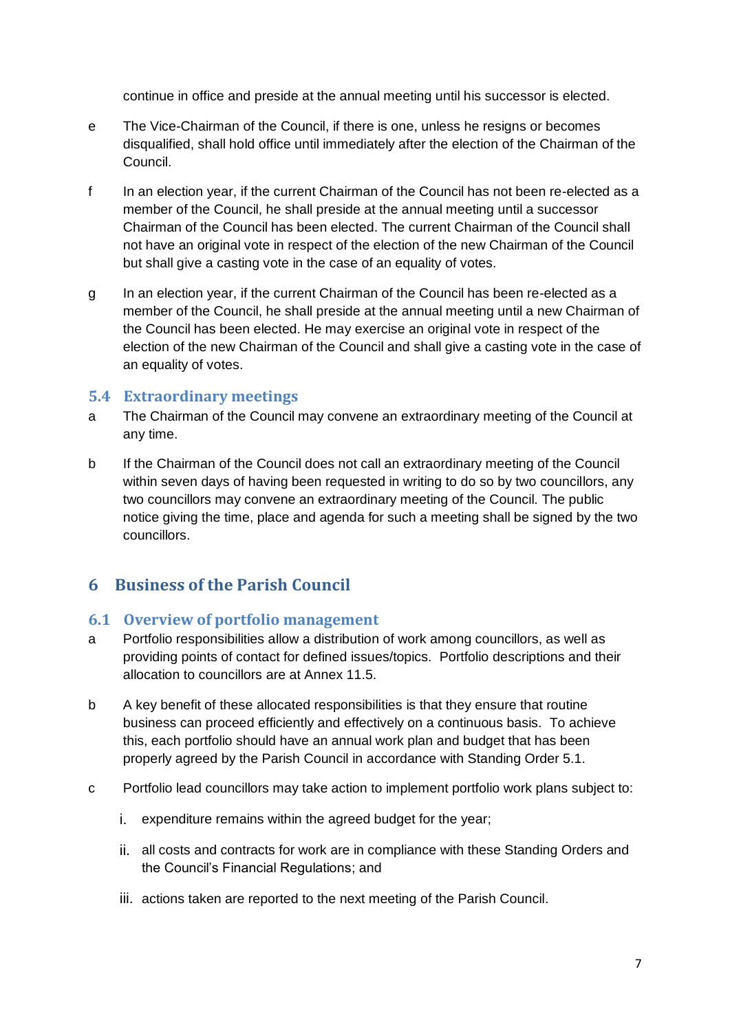continue in office and preside at the annual meeting until his successor is elected.

- e The Vice-Chairman of the Council, if there is one, unless he resigns or becomes disqualified, shall hold office until immediately after the election of the Chairman of the Council.
- f In an election year, if the current Chairman of the Council has not been re-elected as a member of the Council, he shall preside at the annual meeting until a successor Chairman of the Council has been elected. The current Chairman of the Council shall not have an original vote in respect of the election of the new Chairman of the Council but shall give a casting vote in the case of an equality of votes.
- g In an election year, if the current Chairman of the Council has been re-elected as a member of the Council, he shall preside at the annual meeting until a new Chairman of the Council has been elected. He may exercise an original vote in respect of the election of the new Chairman of the Council and shall give a casting vote in the case of an equality of votes.

## **5.4 Extraordinary meetings**

- a The Chairman of the Council may convene an extraordinary meeting of the Council at any time.
- b If the Chairman of the Council does not call an extraordinary meeting of the Council within seven days of having been requested in writing to do so by two councillors, any two councillors may convene an extraordinary meeting of the Council. The public notice giving the time, place and agenda for such a meeting shall be signed by the two councillors.

# <span id="page-6-0"></span>**6 Business of the Parish Council**

## **6.1 Overview of portfolio management**

- a Portfolio responsibilities allow a distribution of work among councillors, as well as providing points of contact for defined issues/topics. Portfolio descriptions and their allocation to councillors are at Annex 11.5.
- b A key benefit of these allocated responsibilities is that they ensure that routine business can proceed efficiently and effectively on a continuous basis. To achieve this, each portfolio should have an annual work plan and budget that has been properly agreed by the Parish Council in accordance with Standing Order 5.1.
- c Portfolio lead councillors may take action to implement portfolio work plans subject to:
	- i. expenditure remains within the agreed budget for the year;
	- ii. all costs and contracts for work are in compliance with these Standing Orders and the Council's Financial Regulations; and
	- iii. actions taken are reported to the next meeting of the Parish Council.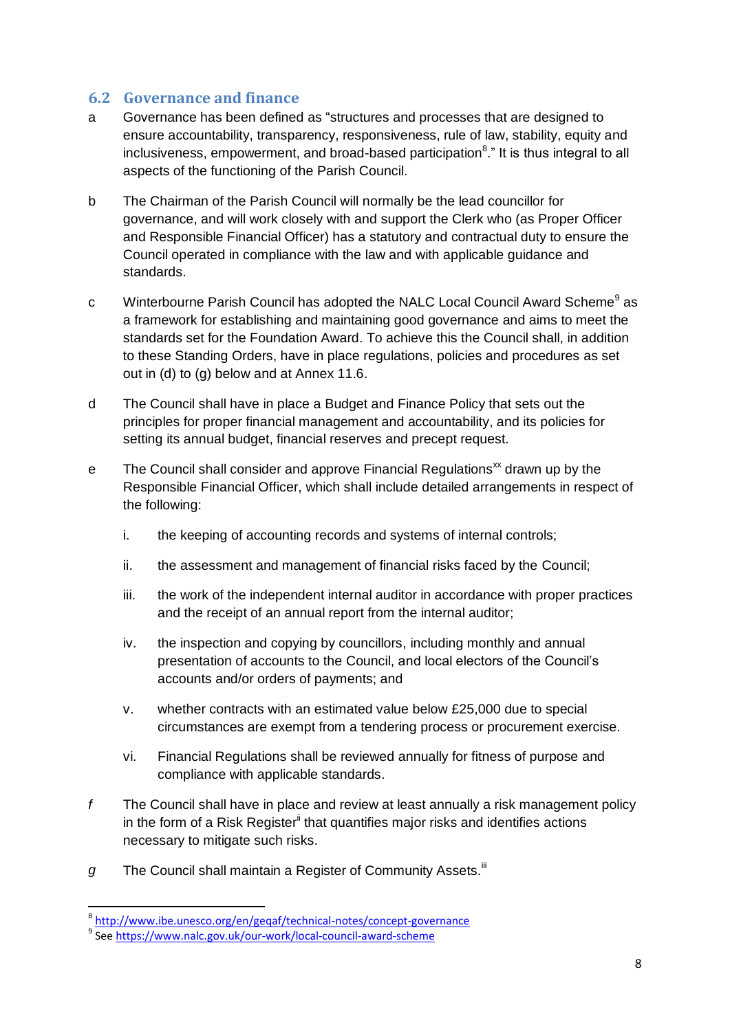## **6.2 Governance and finance**

- a Governance has been defined as "structures and processes that are designed to ensure accountability, transparency, responsiveness, rule of law, stability, equity and inclusiveness, empowerment, and broad-based participation<sup>8</sup>." It is thus integral to all aspects of the functioning of the Parish Council.
- b The Chairman of the Parish Council will normally be the lead councillor for governance, and will work closely with and support the Clerk who (as Proper Officer and Responsible Financial Officer) has a statutory and contractual duty to ensure the Council operated in compliance with the law and with applicable guidance and standards.
- c Winterbourne Parish Council has adopted the NALC Local Council Award Scheme<sup>9</sup> as a framework for establishing and maintaining good governance and aims to meet the standards set for the Foundation Award. To achieve this the Council shall, in addition to these Standing Orders, have in place regulations, policies and procedures as set out in (d) to (g) below and at Annex 11.6.
- d The Council shall have in place a Budget and Finance Policy that sets out the principles for proper financial management and accountability, and its policies for setting its annual budget, financial reserves and precept request.
- e The Council shall consider and approve Financial Regulations<sup>xx</sup> drawn up by the Responsible Financial Officer, which shall include detailed arrangements in respect of the following:
	- i. the keeping of accounting records and systems of internal controls;
	- ii. the assessment and management of financial risks faced by the Council;
	- iii. the work of the independent internal auditor in accordance with proper practices and the receipt of an annual report from the internal auditor;
	- iv. the inspection and copying by councillors, including monthly and annual presentation of accounts to the Council, and local electors of the Council's accounts and/or orders of payments; and
	- v. whether contracts with an estimated value below £25,000 due to special circumstances are exempt from a tendering process or procurement exercise.
	- vi. Financial Regulations shall be reviewed annually for fitness of purpose and compliance with applicable standards.
- *f* The Council shall have in place and review at least annually a risk management policy in the form of a Risk Register<sup>"</sup> that quantifies major risks and identifies actions necessary to mitigate such risks.
- g The Council shall maintain a Register of Community Assets.<sup>iii</sup>

<sup>&</sup>lt;sup>8</sup> <http://www.ibe.unesco.org/en/geqaf/technical-notes/concept-governance>

<sup>&</sup>lt;sup>9</sup> Se[e https://www.nalc.gov.uk/our-work/local-council-award-scheme](https://www.nalc.gov.uk/our-work/local-council-award-scheme)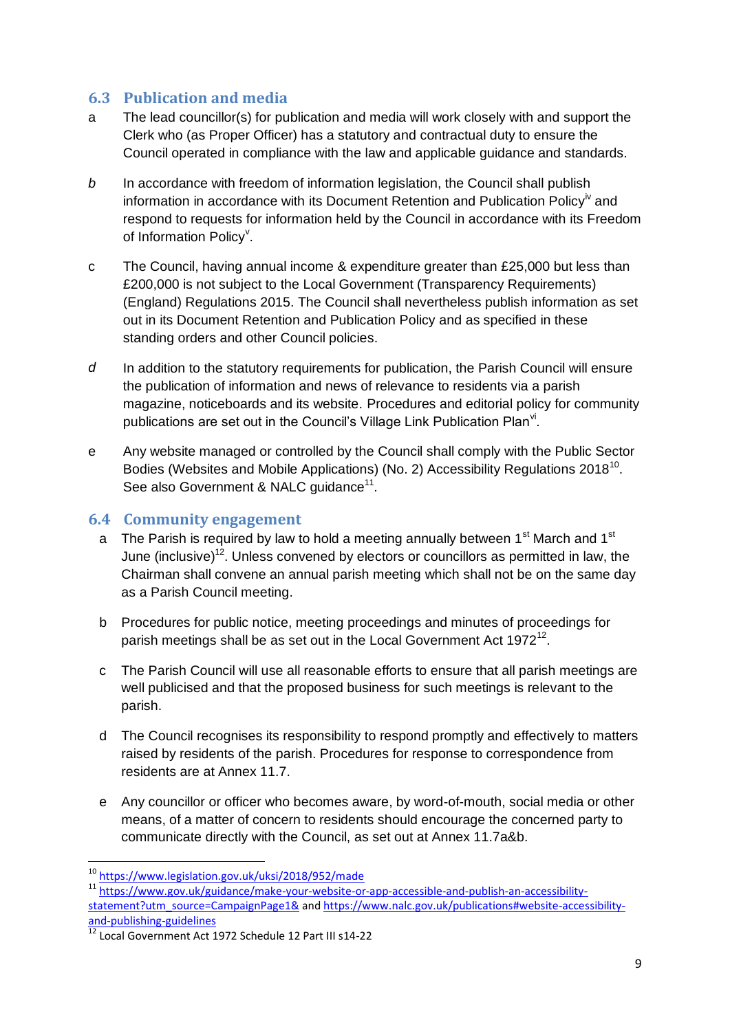## **6.3 Publication and media**

- a The lead councillor(s) for publication and media will work closely with and support the Clerk who (as Proper Officer) has a statutory and contractual duty to ensure the Council operated in compliance with the law and applicable guidance and standards.
- *b* In accordance with freedom of information legislation, the Council shall publish information in accordance with its Document Retention and Publication Policy<sup>iv</sup> and respond to requests for information held by the Council in accordance with its Freedom of Information Policy<sup>v</sup>.
- c The Council, having annual income & expenditure greater than £25,000 but less than £200,000 is not subject to the Local Government (Transparency Requirements) (England) Regulations 2015. The Council shall nevertheless publish information as set out in its Document Retention and Publication Policy and as specified in these standing orders and other Council policies.
- *d* In addition to the statutory requirements for publication, the Parish Council will ensure the publication of information and news of relevance to residents via a parish magazine, noticeboards and its website. Procedures and editorial policy for community publications are set out in the Council's Village Link Publication Plan<sup>vi</sup>.
- e Any website managed or controlled by the Council shall comply with the Public Sector Bodies (Websites and Mobile Applications) (No. 2) Accessibility Regulations 2018<sup>10</sup>. See also Government & NALC guidance<sup>11</sup>.

## **6.4 Community engagement**

- a The Parish is required by law to hold a meeting annually between  $1<sup>st</sup>$  March and  $1<sup>st</sup>$ June (inclusive)<sup>12</sup>. Unless convened by electors or councillors as permitted in law, the Chairman shall convene an annual parish meeting which shall not be on the same day as a Parish Council meeting.
- b Procedures for public notice, meeting proceedings and minutes of proceedings for parish meetings shall be as set out in the Local Government Act 1972<sup>12</sup>.
- c The Parish Council will use all reasonable efforts to ensure that all parish meetings are well publicised and that the proposed business for such meetings is relevant to the parish.
- d The Council recognises its responsibility to respond promptly and effectively to matters raised by residents of the parish. Procedures for response to correspondence from residents are at Annex 11.7.
- e Any councillor or officer who becomes aware, by word-of-mouth, social media or other means, of a matter of concern to residents should encourage the concerned party to communicate directly with the Council, as set out at Annex 11.7a&b.

<sup>&</sup>lt;sup>10</sup> <https://www.legislation.gov.uk/uksi/2018/952/made>

<sup>11</sup> [https://www.gov.uk/guidance/make-your-website-or-app-accessible-and-publish-an-accessibility](https://www.gov.uk/guidance/make-your-website-or-app-accessible-and-publish-an-accessibility-statement?utm_source=CampaignPage1&)[statement?utm\\_source=CampaignPage1&](https://www.gov.uk/guidance/make-your-website-or-app-accessible-and-publish-an-accessibility-statement?utm_source=CampaignPage1&) and [https://www.nalc.gov.uk/publications#website-accessibility](https://www.nalc.gov.uk/publications#website-accessibility-and-publishing-guidelines)[and-publishing-guidelines](https://www.nalc.gov.uk/publications#website-accessibility-and-publishing-guidelines)

<sup>&</sup>lt;sup>12</sup> Local Government Act 1972 Schedule 12 Part III s14-22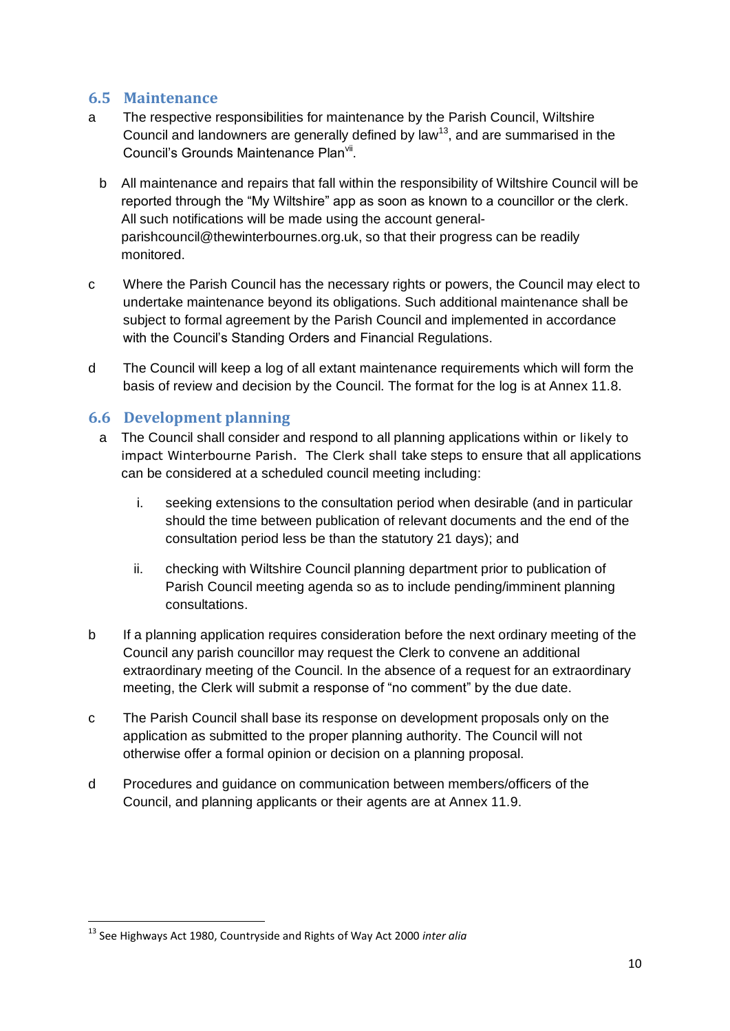## **6.5 Maintenance**

- a The respective responsibilities for maintenance by the Parish Council, Wiltshire Council and landowners are generally defined by law<sup>13</sup>, and are summarised in the Council's Grounds Maintenance Plan<sup>vii</sup>.
	- b All maintenance and repairs that fall within the responsibility of Wiltshire Council will be reported through the "My Wiltshire" app as soon as known to a councillor or the clerk. All such notifications will be made using the account generalparishcouncil@thewinterbournes.org.uk, so that their progress can be readily monitored.
- c Where the Parish Council has the necessary rights or powers, the Council may elect to undertake maintenance beyond its obligations. Such additional maintenance shall be subject to formal agreement by the Parish Council and implemented in accordance with the Council's Standing Orders and Financial Regulations.
- d The Council will keep a log of all extant maintenance requirements which will form the basis of review and decision by the Council. The format for the log is at Annex 11.8.

## **6.6 Development planning**

- a The Council shall consider and respond to all planning applications within or likely to impact Winterbourne Parish. The Clerk shall take steps to ensure that all applications can be considered at a scheduled council meeting including:
	- i. seeking extensions to the consultation period when desirable (and in particular should the time between publication of relevant documents and the end of the consultation period less be than the statutory 21 days); and
	- ii. checking with Wiltshire Council planning department prior to publication of Parish Council meeting agenda so as to include pending/imminent planning consultations.
- b If a planning application requires consideration before the next ordinary meeting of the Council any parish councillor may request the Clerk to convene an additional extraordinary meeting of the Council. In the absence of a request for an extraordinary meeting, the Clerk will submit a response of "no comment" by the due date.
- c The Parish Council shall base its response on development proposals only on the application as submitted to the proper planning authority. The Council will not otherwise offer a formal opinion or decision on a planning proposal.
- d Procedures and guidance on communication between members/officers of the Council, and planning applicants or their agents are at Annex 11.9.

<sup>1</sup> <sup>13</sup> See Highways Act 1980, Countryside and Rights of Way Act 2000 *inter alia*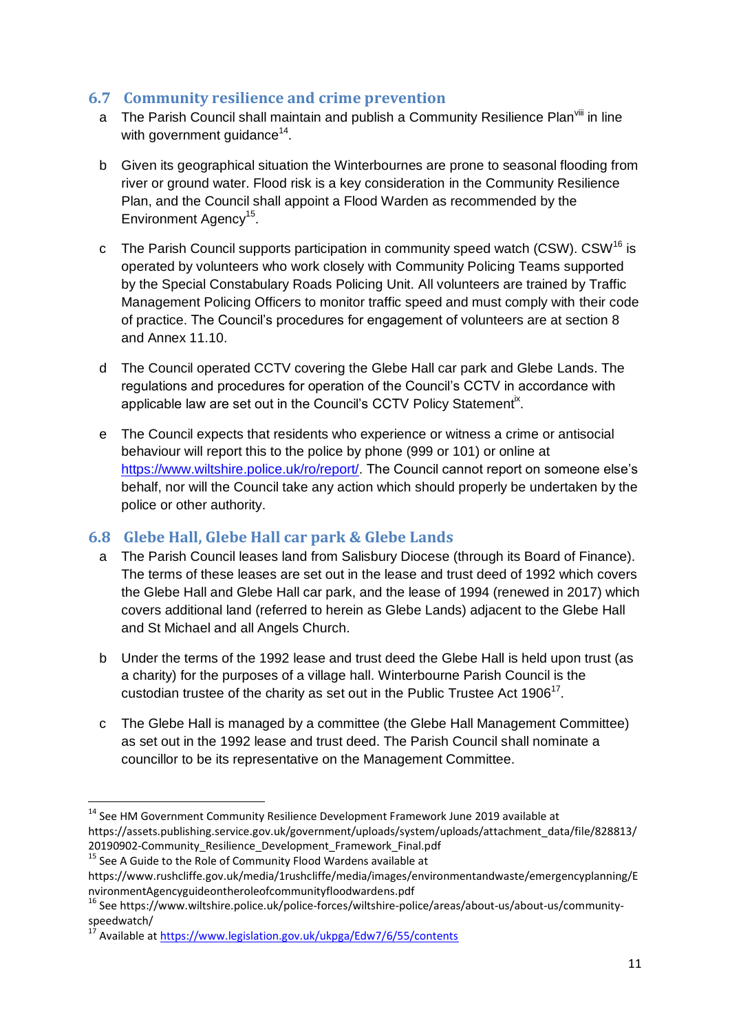## **6.7 Community resilience and crime prevention**

- a The Parish Council shall maintain and publish a Community Resilience Plan<sup>viii</sup> in line with government guidance<sup>14</sup>.
- b Given its geographical situation the Winterbournes are prone to seasonal flooding from river or ground water. Flood risk is a key consideration in the Community Resilience Plan, and the Council shall appoint a Flood Warden as recommended by the Environment Agency<sup>15</sup>.
- c The Parish Council supports participation in community speed watch (CSW). CSW<sup>16</sup> is operated by volunteers who work closely with Community Policing Teams supported by the Special Constabulary Roads Policing Unit. All volunteers are trained by Traffic Management Policing Officers to monitor traffic speed and must comply with their code of practice. The Council's procedures for engagement of volunteers are at section 8 and Annex 11.10.
- d The Council operated CCTV covering the Glebe Hall car park and Glebe Lands. The regulations and procedures for operation of the Council's CCTV in accordance with applicable law are set out in the Council's CCTV Policy Statement<sup>ix</sup>.
- e The Council expects that residents who experience or witness a crime or antisocial behaviour will report this to the police by phone (999 or 101) or online at [https://www.wiltshire.police.uk/ro/report/.](https://www.wiltshire.police.uk/ro/report/) The Council cannot report on someone else's behalf, nor will the Council take any action which should properly be undertaken by the police or other authority.

## **6.8 Glebe Hall, Glebe Hall car park & Glebe Lands**

- a The Parish Council leases land from Salisbury Diocese (through its Board of Finance). The terms of these leases are set out in the lease and trust deed of 1992 which covers the Glebe Hall and Glebe Hall car park, and the lease of 1994 (renewed in 2017) which covers additional land (referred to herein as Glebe Lands) adjacent to the Glebe Hall and St Michael and all Angels Church.
- b Under the terms of the 1992 lease and trust deed the Glebe Hall is held upon trust (as a charity) for the purposes of a village hall. Winterbourne Parish Council is the custodian trustee of the charity as set out in the Public Trustee Act 1906 $^{17}$ .
- c The Glebe Hall is managed by a committee (the Glebe Hall Management Committee) as set out in the 1992 lease and trust deed. The Parish Council shall nominate a councillor to be its representative on the Management Committee.

<sup>1</sup> <sup>14</sup> See HM Government Community Resilience Development Framework June 2019 available at https://assets.publishing.service.gov.uk/government/uploads/system/uploads/attachment\_data/file/828813/ 20190902-Community\_Resilience\_Development\_Framework\_Final.pdf

<sup>&</sup>lt;sup>15</sup> See A Guide to the Role of Community Flood Wardens available at

https://www.rushcliffe.gov.uk/media/1rushcliffe/media/images/environmentandwaste/emergencyplanning/E nvironmentAgencyguideontheroleofcommunityfloodwardens.pdf

<sup>&</sup>lt;sup>16</sup> See https://www.wiltshire.police.uk/police-forces/wiltshire-police/areas/about-us/about-us/communityspeedwatch/

<sup>.&</sup>lt;br>Available a[t https://www.legislation.gov.uk/ukpga/Edw7/6/55/contents](https://www.legislation.gov.uk/ukpga/Edw7/6/55/contents)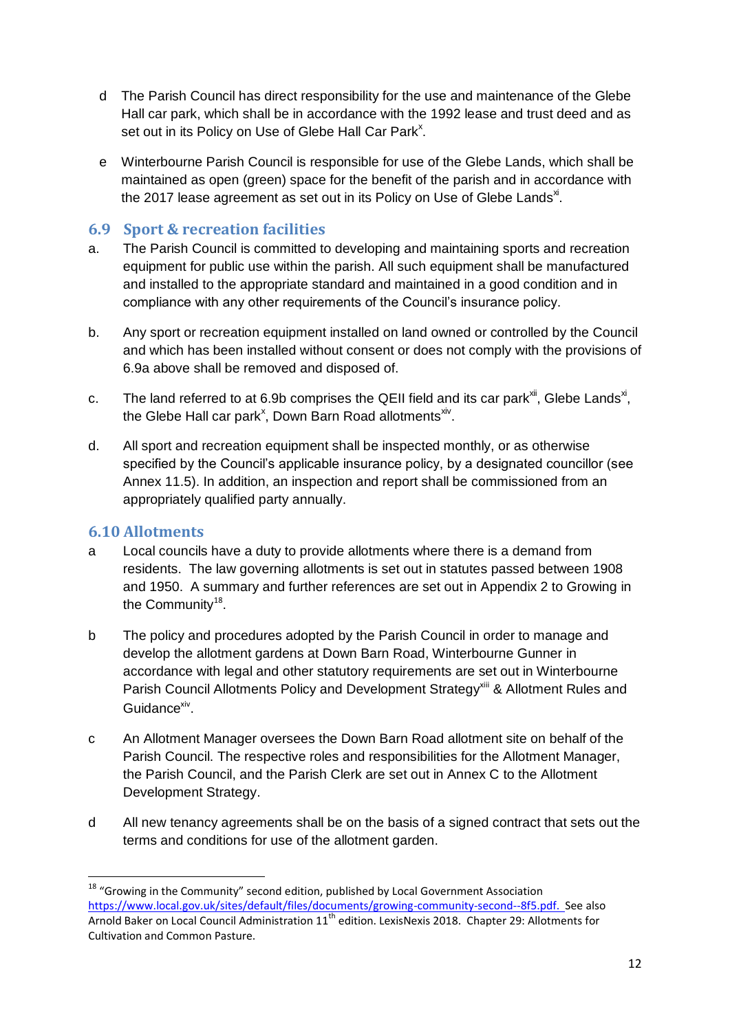- d The Parish Council has direct responsibility for the use and maintenance of the Glebe Hall car park, which shall be in accordance with the 1992 lease and trust deed and as set out in its Policy on Use of Glebe Hall Car Park<sup>x</sup>.
- e Winterbourne Parish Council is responsible for use of the Glebe Lands, which shall be maintained as open (green) space for the benefit of the parish and in accordance with the 2017 lease agreement as set out in its Policy on Use of Glebe Lands $^{\times}$ .

## **6.9 Sport & recreation facilities**

- a. The Parish Council is committed to developing and maintaining sports and recreation equipment for public use within the parish. All such equipment shall be manufactured and installed to the appropriate standard and maintained in a good condition and in compliance with any other requirements of the Council's insurance policy.
- b. Any sport or recreation equipment installed on land owned or controlled by the Council and which has been installed without consent or does not comply with the provisions of 6.9a above shall be removed and disposed of.
- c. The land referred to at 6.9b comprises the QEII field and its car park $^{xii}$ , Glebe Lands $^{xi}$ , the Glebe Hall car park<sup>x</sup>, Down Barn Road allotments<sup>xiv</sup>.
- d. All sport and recreation equipment shall be inspected monthly, or as otherwise specified by the Council's applicable insurance policy, by a designated councillor (see Annex 11.5). In addition, an inspection and report shall be commissioned from an appropriately qualified party annually.

## **6.10 Allotments**

- a Local councils have a duty to provide allotments where there is a demand from residents. The law governing allotments is set out in statutes passed between 1908 and 1950. A summary and further references are set out in Appendix 2 to Growing in the Community<sup>18</sup>.
- b The policy and procedures adopted by the Parish Council in order to manage and develop the allotment gardens at Down Barn Road, Winterbourne Gunner in accordance with legal and other statutory requirements are set out in Winterbourne Parish Council Allotments Policy and Development Strategy<sup>xiii</sup> & Allotment Rules and Guidance<sup>xiv</sup>.
- c An Allotment Manager oversees the Down Barn Road allotment site on behalf of the Parish Council. The respective roles and responsibilities for the Allotment Manager, the Parish Council, and the Parish Clerk are set out in Annex C to the Allotment Development Strategy.
- d All new tenancy agreements shall be on the basis of a signed contract that sets out the terms and conditions for use of the allotment garden.

 $18$  "Growing in the Community" second edition, published by Local Government Association [https://www.local.gov.uk/sites/default/files/documents/growing-community-second--8f5.pdf.](https://www.local.gov.uk/sites/default/files/documents/growing-community-second--8f5.pdf) See also Arnold Baker on Local Council Administration 11<sup>th</sup> edition. LexisNexis 2018. Chapter 29: Allotments for Cultivation and Common Pasture.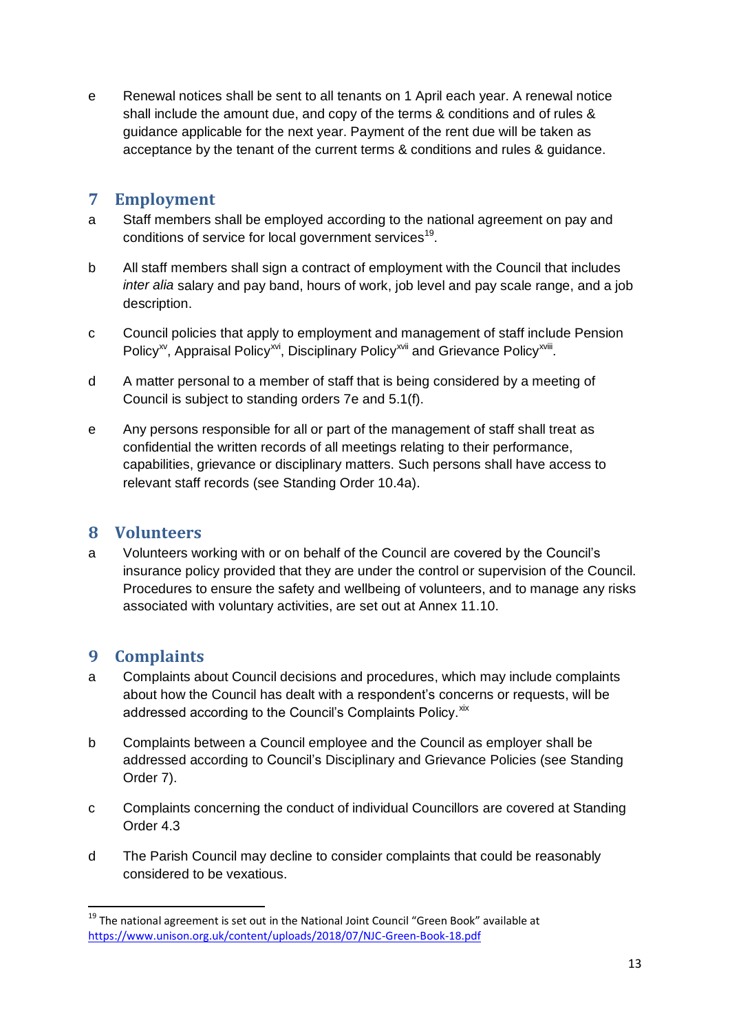e Renewal notices shall be sent to all tenants on 1 April each year. A renewal notice shall include the amount due, and copy of the terms & conditions and of rules & guidance applicable for the next year. Payment of the rent due will be taken as acceptance by the tenant of the current terms & conditions and rules & guidance.

## <span id="page-12-0"></span>**7 Employment**

- a Staff members shall be employed according to the national agreement on pay and conditions of service for local government services<sup>19</sup>.
- b All staff members shall sign a contract of employment with the Council that includes *inter alia* salary and pay band, hours of work, job level and pay scale range, and a job description.
- c Council policies that apply to employment and management of staff include Pension Policy<sup>xv</sup>, Appraisal Policy<sup>xvi</sup>, Disciplinary Policy<sup>xvii</sup> and Grievance Policy<sup>xviii</sup>.
- d A matter personal to a member of staff that is being considered by a meeting of Council is subject to standing orders 7e and 5.1(f).
- e Any persons responsible for all or part of the management of staff shall treat as confidential the written records of all meetings relating to their performance, capabilities, grievance or disciplinary matters. Such persons shall have access to relevant staff records (see Standing Order 10.4a).

## <span id="page-12-1"></span>**8 Volunteers**

a Volunteers working with or on behalf of the Council are covered by the Council's insurance policy provided that they are under the control or supervision of the Council. Procedures to ensure the safety and wellbeing of volunteers, and to manage any risks associated with voluntary activities, are set out at Annex 11.10.

## <span id="page-12-2"></span>**9 Complaints**

- a Complaints about Council decisions and procedures, which may include complaints about how the Council has dealt with a respondent's concerns or requests, will be addressed according to the Council's Complaints Policy. Xix
- b Complaints between a Council employee and the Council as employer shall be addressed according to Council's Disciplinary and Grievance Policies (see Standing Order 7).
- c Complaints concerning the conduct of individual Councillors are covered at Standing Order 4.3
- d The Parish Council may decline to consider complaints that could be reasonably considered to be vexatious.

<sup>1</sup> <sup>19</sup> The national agreement is set out in the National Joint Council "Green Book" available at <https://www.unison.org.uk/content/uploads/2018/07/NJC-Green-Book-18.pdf>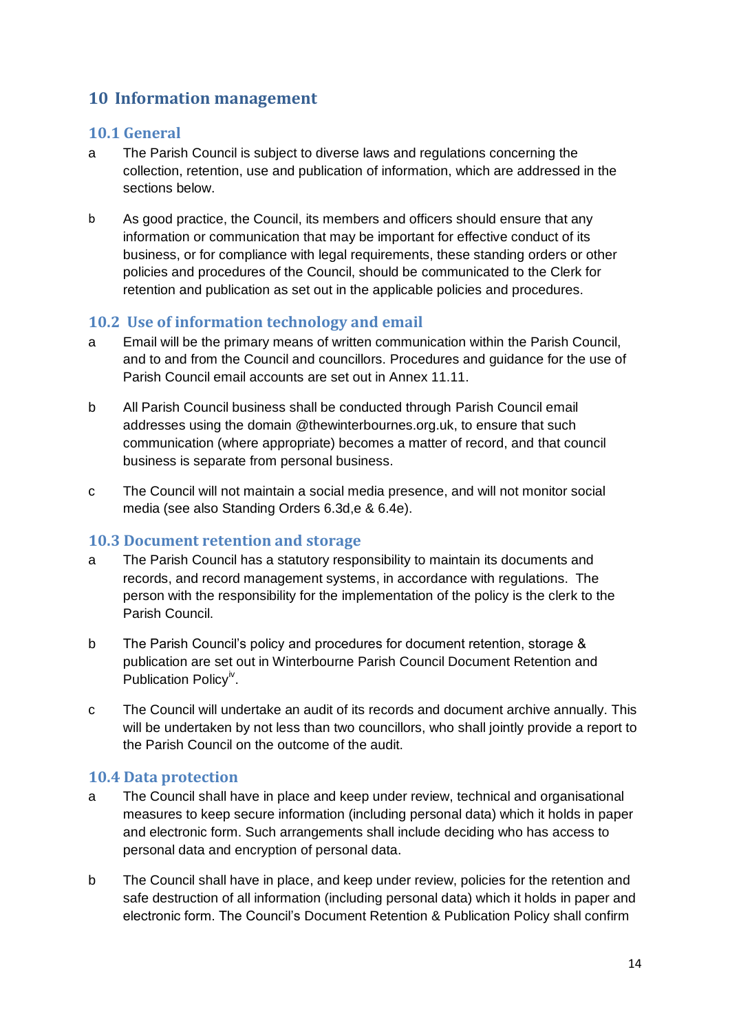## <span id="page-13-0"></span>**10 Information management**

#### **10.1 General**

- a The Parish Council is subject to diverse laws and regulations concerning the collection, retention, use and publication of information, which are addressed in the sections below.
- b As good practice, the Council, its members and officers should ensure that any information or communication that may be important for effective conduct of its business, or for compliance with legal requirements, these standing orders or other policies and procedures of the Council, should be communicated to the Clerk for retention and publication as set out in the applicable policies and procedures.

#### **10.2 Use of information technology and email**

- a Email will be the primary means of written communication within the Parish Council, and to and from the Council and councillors. Procedures and guidance for the use of Parish Council email accounts are set out in Annex 11.11.
- b All Parish Council business shall be conducted through Parish Council email addresses using the domain @thewinterbournes.org.uk, to ensure that such communication (where appropriate) becomes a matter of record, and that council business is separate from personal business.
- c The Council will not maintain a social media presence, and will not monitor social media (see also Standing Orders 6.3d,e & 6.4e).

#### **10.3 Document retention and storage**

- a The Parish Council has a statutory responsibility to maintain its documents and records, and record management systems, in accordance with regulations. The person with the responsibility for the implementation of the policy is the clerk to the Parish Council.
- b The Parish Council's policy and procedures for document retention, storage & publication are set out in Winterbourne Parish Council Document Retention and Publication Policy<sup>iv</sup>.
- c The Council will undertake an audit of its records and document archive annually. This will be undertaken by not less than two councillors, who shall jointly provide a report to the Parish Council on the outcome of the audit.

## **10.4 Data protection**

- a The Council shall have in place and keep under review, technical and organisational measures to keep secure information (including personal data) which it holds in paper and electronic form. Such arrangements shall include deciding who has access to personal data and encryption of personal data.
- b The Council shall have in place, and keep under review, policies for the retention and safe destruction of all information (including personal data) which it holds in paper and electronic form. The Council's Document Retention & Publication Policy shall confirm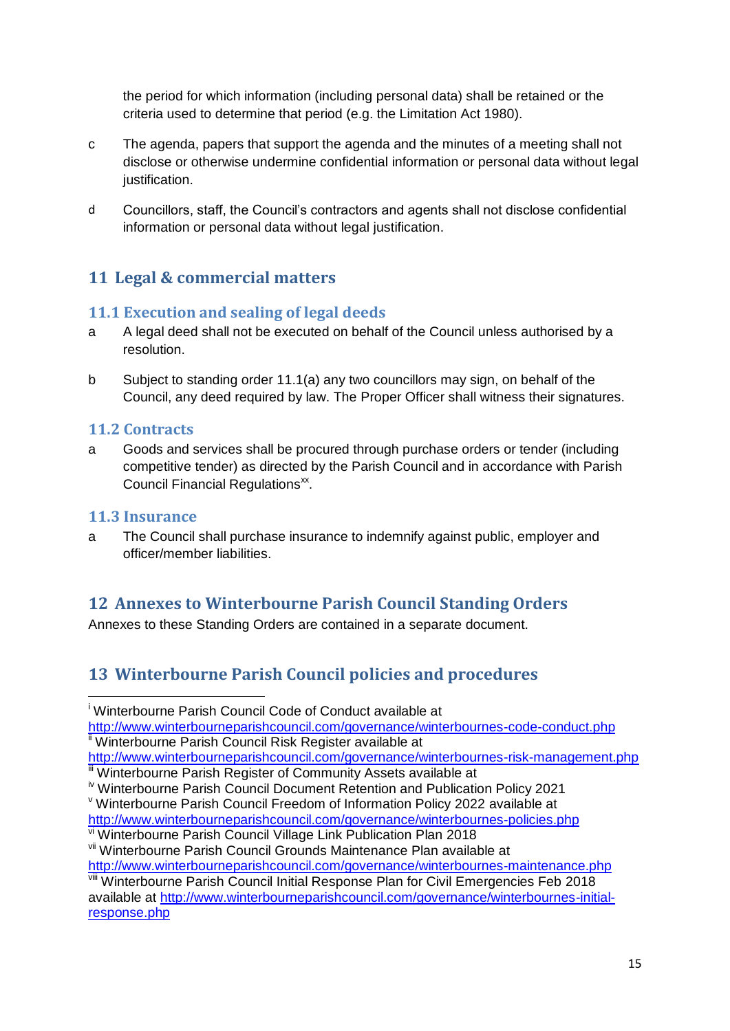the period for which information (including personal data) shall be retained or the criteria used to determine that period (e.g. the Limitation Act 1980).

- c The agenda, papers that support the agenda and the minutes of a meeting shall not disclose or otherwise undermine confidential information or personal data without legal justification.
- d Councillors, staff, the Council's contractors and agents shall not disclose confidential information or personal data without legal justification.

# <span id="page-14-0"></span>**11 Legal & commercial matters**

## **11.1 Execution and sealing of legal deeds**

- a A legal deed shall not be executed on behalf of the Council unless authorised by a resolution.
- b Subject to standing order 11.1(a) any two councillors may sign, on behalf of the Council, any deed required by law. The Proper Officer shall witness their signatures.

#### **11.2 Contracts**

a Goods and services shall be procured through purchase orders or tender (including competitive tender) as directed by the Parish Council and in accordance with Parish Council Financial Regulations<sup>xx</sup>.

#### **11.3 Insurance**

1

a The Council shall purchase insurance to indemnify against public, employer and officer/member liabilities.

# <span id="page-14-1"></span>**12 Annexes to Winterbourne Parish Council Standing Orders**

Annexes to these Standing Orders are contained in a separate document.

# <span id="page-14-2"></span>**13 Winterbourne Parish Council policies and procedures**

<sup>i</sup> Winterbourne Parish Council Code of Conduct available at

<http://www.winterbourneparishcouncil.com/governance/winterbournes-code-conduct.php> <sup>ii</sup> Winterbourne Parish Council Risk Register available at

<http://www.winterbourneparishcouncil.com/governance/winterbournes-risk-management.php> **III** Winterbourne Parish Register of Community Assets available at

<http://www.winterbourneparishcouncil.com/governance/winterbournes-policies.php> vi Winterbourne Parish Council Village Link Publication Plan 2018

**iv Winterbourne Parish Council Document Retention and Publication Policy 2021** 

<sup>v</sup> Winterbourne Parish Council Freedom of Information Policy 2022 available at

vii Winterbourne Parish Council Grounds Maintenance Plan available at <http://www.winterbourneparishcouncil.com/governance/winterbournes-maintenance.php>

**Winterbourne Parish Council Initial Response Plan for Civil Emergencies Feb 2018** available at [http://www.winterbourneparishcouncil.com/governance/winterbournes-initial](http://www.winterbourneparishcouncil.com/governance/winterbournes-initial-response.php)[response.php](http://www.winterbourneparishcouncil.com/governance/winterbournes-initial-response.php)